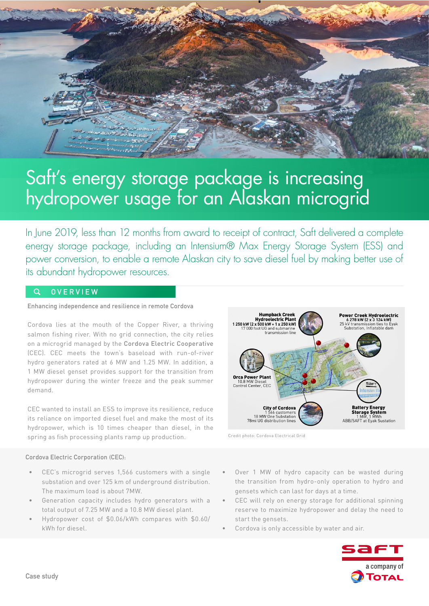

# Saft's energy storage package is increasing hydropower usage for an Alaskan microgrid

In June 2019, less than 12 months from award to receipt of contract, Saft delivered a complete energy storage package, including an Intensium® Max Energy Storage System (ESS) and power conversion, to enable a remote Alaskan city to save diesel fuel by making better use of its abundant hydropower resources.

#### **OVERVIEW**  $\Omega$

## **Enhancing independence and resilience in remote Cordova**

Cordova lies at the mouth of the Copper River, a thriving salmon fishing river. With no grid connection, the city relies on a microgrid managed by the [Cordova Electric Cooperative](https://www.cordovaelectric.com/about/) (CEC). CEC meets the town's baseload with run-of-river hydro generators rated at 6 MW and 1.25 MW. In addition, a 1 MW diesel genset provides support for the transition from hydropower during the winter freeze and the peak summer demand.

CEC wanted to install an ESS to improve its resilience, reduce its reliance on imported diesel fuel and make the most of its hydropower, which is 10 times cheaper than diesel, in the spring as fish processing plants ramp up production.



Credit photo: Cordova Electrical Grid

**Cordova Electric Corporation (CEC):**

- CEC's microgrid serves 1,566 customers with a single substation and over 125 km of underground distribution. The maximum load is about 7MW.
- Generation capacity includes hydro generators with a total output of 7.25 MW and a 10.8 MW diesel plant.
- Hydropower cost of \$0.06/kWh compares with \$0.60/ kWh for diesel.
- Over 1 MW of hydro capacity can be wasted during the transition from hydro-only operation to hydro and gensets which can last for days at a time.
- CEC will rely on energy storage for additional spinning reserve to maximize hydropower and delay the need to start the gensets.
- Cordova is only accessible by water and air.